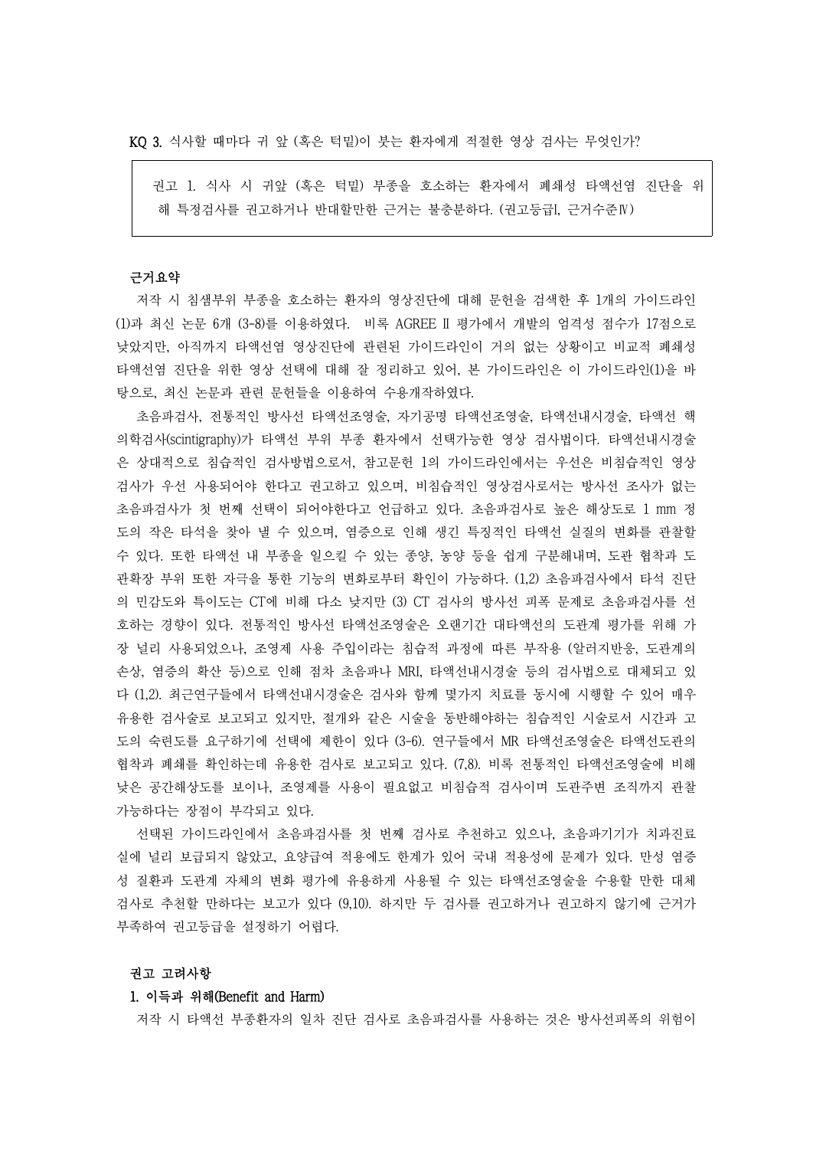KQ 3. 식사할 때마다 귀 앞 (혹은 턱밑)이 붓는 환자에게 적절한 영상 검사는 무엇인가?

권고 1. 식사 시 귀앞 (혹은 턱밑) 부종을 호소하는 환자에서 폐쇄성 타액선염 진단을 위 해 특정검사를 권고하거나 반대할만한 근거는 불충분하다. (권고등급I, 근거수준Ⅳ)

## 근거요약

저작 시 침샘부위 부종을 호소하는 환자의 영상진단에 대해 문헌을 검색한 후 1개의 가이드라인 (1)과 최신 논문 6개 (3-8)를 이용하였다. 비록 AGREE II 평가에서 개발의 엄격성 점수가 17점으로 낮았지만, 아직까지 타액선염 영상진단에 관련된 가이드라인이 거의 없는 상황이고 비교적 폐쇄성 타액선염 진단을 위한 영상 선택에 대해 잘 정리하고 있어, 본 가이드라인은 이 가이드라인(1)을 바 탕으로, 최신 논문과 관련 문헌들을 이용하여 수용개작하였다.

초음파검사, 전통적인 방사선 타액선조영술, 자기공명 타액선조영술, 타액선내시경술, 타액선 핵 의학검사(scintigraphy)가 타액선 부위 부종 환자에서 선택가능한 영상 검사법이다. 타액선내시경술 은 상대적으로 침습적인 검사방법으로서, 참고문헌 1의 가이드라인에서는 우선은 비침습적인 영상 검사가 우선 사용되어야 한다고 권고하고 있으며, 비침습적인 영상검사로서는 방사선 조사가 없는 초음파검사가 첫 번째 선택이 되어야한다고 언급하고 있다. 초음파검사로 높은 해상도로 1 mm 정 도의 작은 타석을 찾아 낼 수 있으며, 염증으로 인해 생긴 특징적인 타액선 실질의 변화를 관찰할 수 있다. 또한 타액선 내 부종을 일으킬 수 있는 종양, 농양 등을 쉽게 구분해내며, 도관 협착과 도 관확장 부위 또한 자극을 통한 기능의 변화로부터 확인이 가능하다. (1,2) 초음파검사에서 타석 진단 의 민감도와 특이도는 CT에 비해 다소 낮지만 (3) CT 검사의 방사선 피폭 문제로 초음파검사를 선 호하는 경향이 있다. 전통적인 방사선 타액선조영술은 오랜기간 대타액선의 도관계 평가를 위해 가 장 널리 사용되었으나, 조영제 사용 주입이라는 침습적 과정에 따른 부작용 (알러지반응, 도관계의 손상, 염증의 확산 등)으로 인해 점차 초음파나 MRI, 타액선내시경술 등의 검사법으로 대체되고 있 다 (1,2). 최근연구들에서 타액선내시경술은 검사와 함께 몇가지 치료를 동시에 시행할 수 있어 매우 유용한 검사술로 보고되고 있지만, 절개와 같은 시술을 동반해야하는 침습적인 시술로서 시간과 고 도의 숙련도를 요구하기에 선택에 제한이 있다 (3-6). 연구들에서 MR 타액선조영술은 타액선도관의 협착과 폐쇄를 확인하는데 유용한 검사로 보고되고 있다. (7,8). 비록 전통적인 타액선조영술에 비해 낮은 공간해상도를 보이나, 조영제를 사용이 필요없고 비침습적 검사이며 도관주변 조직까지 관찰 가능하다는 장점이 부각되고 있다.

선택된 가이드라인에서 초음파검사를 첫 번째 검사로 추천하고 있으나, 초음파기기가 치과진료 실에 널리 보급되지 않았고, 요양급여 적용에도 한계가 있어 국내 적용성에 문제가 있다. 만성 염증 성 질환과 도관계 자체의 변화 평가에 유용하게 사용될 수 있는 타액선조영술을 수용할 만한 대체 검사로 추천할 만하다는 보고가 있다 (9,10). 하지만 두 검사를 권고하거나 권고하지 않기에 근거가 부족하여 권고등급을 설정하기 어렵다.

#### 권고 고려사항

#### 1. 이득과 위해(Benefit and Harm)

저작 시 타액선 부종환자의 일차 진단 검사로 초음파검사를 사용하는 것은 방사선피폭의 위험이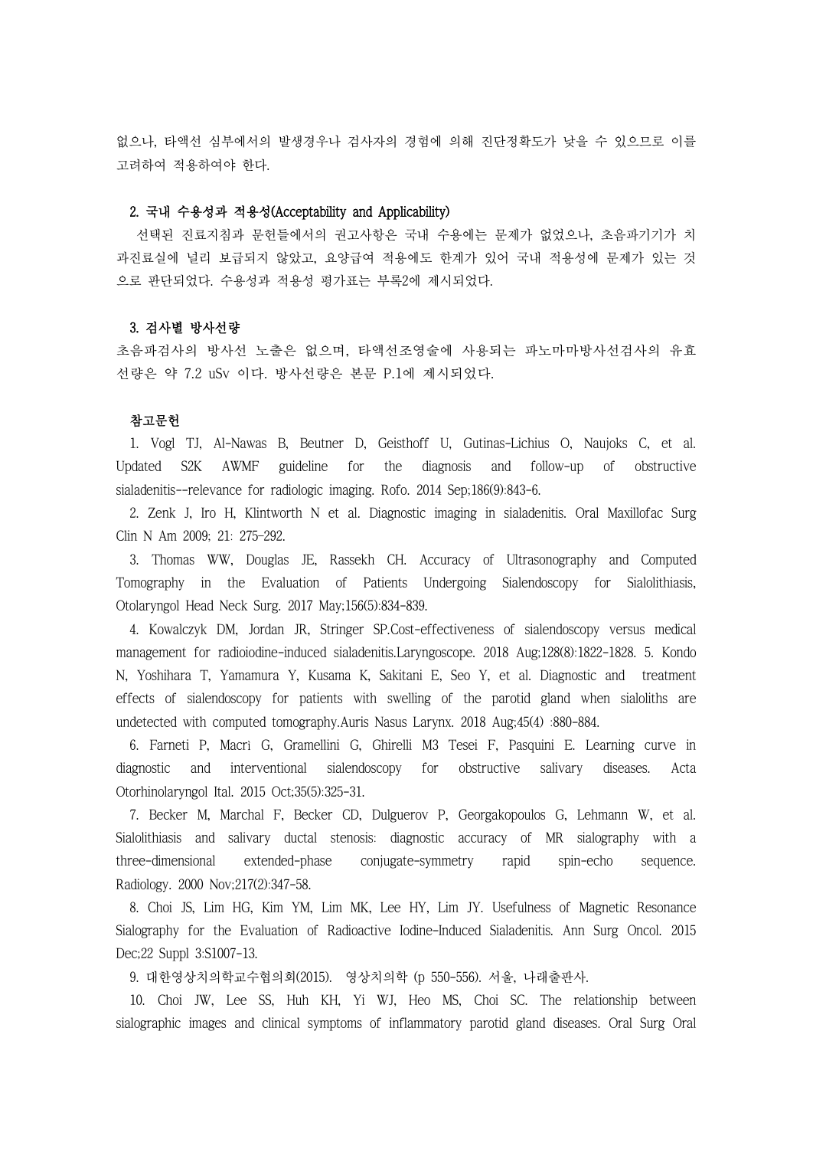없으나, 타액선 심부에서의 발생경우나 검사자의 경험에 의해 진단정확도가 낮을 수 있으므로 이를 고려하여 적용하여야 한다.

# 2. 국내 수용성과 적용성(Acceptability and Applicability)

선택된 진료지침과 문헌들에서의 권고사항은 국내 수용에는 문제가 없었으나, 초음파기기가 치 과진료실에 널리 보급되지 않았고, 요양급여 적용에도 한계가 있어 국내 적용성에 문제가 있는 것 으로 판단되었다. 수용성과 적용성 평가표는 부록2에 제시되었다.

## 3. 검사별 방사선량

초음파검사의 방사선 노출은 없으며, 타액선조영술에 사용되는 파노마마방사선검사의 유효 선량은 약 7.2 uSv 이다. 방사선량은 본문 P.1에 제시되었다.

### 참고문헌

1. Vogl TJ, Al-Nawas B, Beutner D, Geisthoff U, Gutinas-Lichius O, Naujoks C, et al. Updated S2K AWMF guideline for the diagnosis and follow-up of obstructive sialadenitis--relevance for radiologic imaging. Rofo. 2014 Sep;186(9):843-6.

2. Zenk J, Iro H, Klintworth N et al. Diagnostic imaging in sialadenitis. Oral Maxillofac Surg Clin N Am 2009; 21: 275–292.

3. Thomas WW, Douglas JE, Rassekh CH. Accuracy of Ultrasonography and Computed Tomography in the Evaluation of Patients Undergoing Sialendoscopy for Sialolithiasis, Otolaryngol Head Neck Surg. 2017 May;156(5):834-839.

4. Kowalczyk DM, Jordan JR, Stringer SP.Cost-effectiveness of sialendoscopy versus medical management for radioiodine-induced sialadenitis.Laryngoscope. 2018 Aug;128(8):1822-1828. 5. Kondo N, Yoshihara T, Yamamura Y, Kusama K, Sakitani E, Seo Y, et al. Diagnostic and treatment effects of sialendoscopy for patients with swelling of the parotid gland when sialoliths are undetected with computed tomography.Auris Nasus Larynx. 2018 Aug;45(4) :880-884.

6. Farneti P, Macrì G, Gramellini G, Ghirelli M3 Tesei F, Pasquini E. Learning curve in diagnostic and interventional sialendoscopy for obstructive salivary diseases. Acta Otorhinolaryngol Ital. 2015 Oct;35(5):325-31.

7. Becker M, Marchal F, Becker CD, Dulguerov P, Georgakopoulos G, Lehmann W, et al. Sialolithiasis and salivary ductal stenosis: diagnostic accuracy of MR sialography with a three-dimensional extended-phase conjugate-symmetry rapid spin-echo sequence. Radiology. 2000 Nov;217(2):347-58.

8. Choi JS, Lim HG, Kim YM, Lim MK, Lee HY, Lim JY. Usefulness of Magnetic Resonance Sialography for the Evaluation of Radioactive Iodine-Induced Sialadenitis. Ann Surg Oncol. 2015 Dec;22 Suppl 3:S1007-13.

9. 대한영상치의학교수협의회(2015). 영상치의학 (p 550-556). 서울, 나래출판사.

10. Choi JW, Lee SS, Huh KH, Yi WJ, Heo MS, Choi SC. The relationship between sialographic images and clinical symptoms of inflammatory parotid gland diseases. Oral Surg Oral